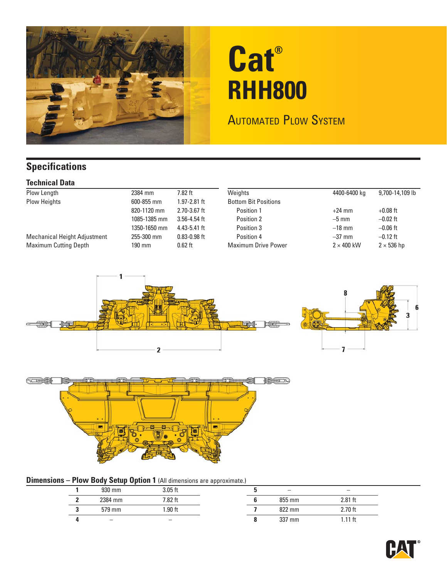

# **Cat® RHH800**

### **AUTOMATED PLOW SYSTEM**

### **Specifications**

#### **Technical Data**

| Plow Length                  | 2384 mm      | $7.82$ ft        | Weights                     | 4400-6400 kg      | 9,700-14,109 lb   |
|------------------------------|--------------|------------------|-----------------------------|-------------------|-------------------|
| <b>Plow Heights</b>          | 600-855 mm   | $1.97 - 2.81$ ft | <b>Bottom Bit Positions</b> |                   |                   |
|                              | 820-1120 mm  | $2.70 - 3.67$ ft | Position 1                  | $+24$ mm          | $+0.08$ ft        |
|                              | 1085-1385 mm | $3.56 - 4.54$ ft | Position 2                  | $-5$ mm           | $-0.02$ ft        |
|                              | 1350-1650 mm | $4.43 - 5.41$ ft | Position 3                  | $-18$ mm          | $-0.06$ ft        |
| Mechanical Height Adjustment | 255-300 mm   | $0.83 - 0.98$ ft | Position 4                  | $-37$ mm          | $-0.12$ ft        |
| <b>Maximum Cutting Depth</b> | $190$ mm     | $0.62$ ft        | <b>Maximum Drive Power</b>  | $2 \times 400$ kW | $2 \times 536$ hp |
|                              |              |                  |                             |                   |                   |





#### **Dimensions – Plow Body Setup Option 1** (All dimensions are approximate.)

| 930 mm  | $3.05$ ft |  |        |           |
|---------|-----------|--|--------|-----------|
| 2384 mm | 7.82 ft   |  | 855 mm | $2.81$ ft |
| 579 mm  | $.90$ ft  |  | 822 mm | $2.70$ ft |
|         |           |  | 337 mm |           |
|         |           |  |        |           |

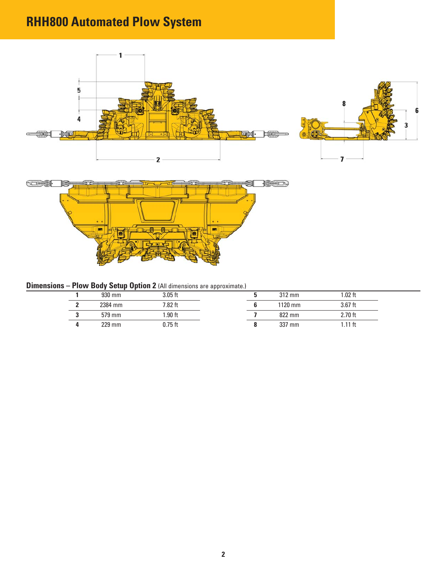# **RHH800 Automated Plow System**



### **Dimensions – Plow Body Setup Option 2** (All dimensions are approximate.)

|  | 930 mm  | 3.05 ft  |  | $312 \text{ mm}$ | $.02$ ft  |
|--|---------|----------|--|------------------|-----------|
|  | 2384 mm | 7.82 ft  |  | 1120 mm          | $3.67$ ft |
|  | 579 mm  | $.90$ ft |  | 822 mm           | $2.70$ ft |
|  | 229 mm  | .75 ft   |  | 337 mm           |           |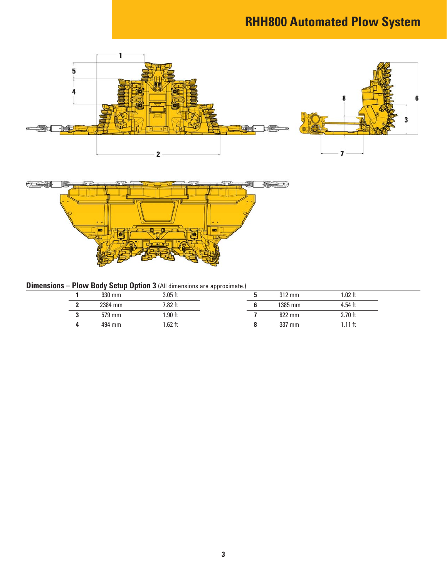# **RHH800 Automated Plow System**



| <b>Dimensions - Plow Body Setup Option 3 (All dimensions are approximate.)</b> |  |  |  |
|--------------------------------------------------------------------------------|--|--|--|
|--------------------------------------------------------------------------------|--|--|--|

|  | 930 mm  | $3.05$ ft |  | $312 \text{ mm}$ | 1.02 ft   |
|--|---------|-----------|--|------------------|-----------|
|  | 2384 mm | 7.82 ft   |  | 1385 mm          | $4.54$ ft |
|  | 579 mm  | $.90$ ft  |  | 822 mm           | 2.70 ft   |
|  | 494 mm  | $.62$ ft  |  | 337 mm           | $.11$ ft  |